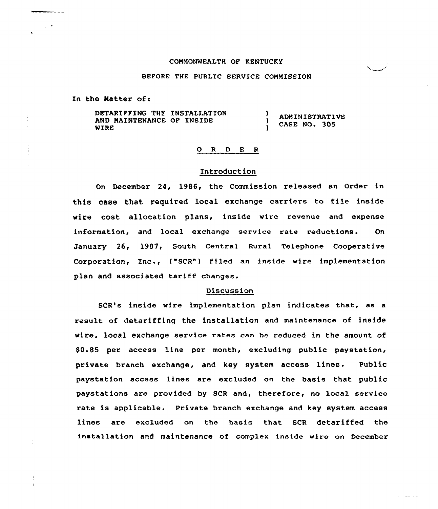### COMMONWEALTH OF KENTUCKY

#### BEFORE THE PUBLIC SERVICE COMMISSION

In the Matter of <sup>s</sup>

DETARIFFING THE INSTALLATION  $\lambda$ ADMINISTRATIVE AND MAINTENANCE OF INSIDE A CASE NO. 305 WIRE A

# 0 <sup>R</sup> <sup>D</sup> <sup>E</sup> <sup>R</sup>

# Introduction

On December 24, 1986, the Commission released an Order in this case that required local exchange carriers to file inside wire cost allocation plans, inside wire revenue and expense information, and local exchange service rate reductions. Qn January 26, 1987, South Central Rural Telephone Cooperative Corporation, Inc., ("SCR") filed an inside wire implementation plan and associated tariff changes.

### Discussion

SCR's inside wire implementation plan indicates that, as a result of detariffing the installation and maintenance of inside wire, local exchange service rates can be reduced in the amount of \$0.85 per access line per month, excluding public paystation, private branch exchange, and key system access lines. Public paystation access lines are excluded on the basis that public paystations axe provided by SCR and, therefore, no local service rate is applicable. Private branch exchange and key system access lines are excluded on the basis that SCR detariffed the installation and maintenance of complex inside wire on December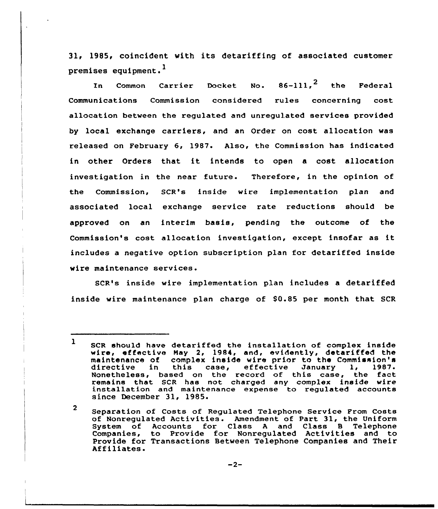31, 1985, coincident with its detariffing of associated customer premises equipment. <sup>1</sup>

Common Carrier Docket No.  $86-111$ ,  $^2$  the Federa In Communications Commission considered rules concerning cost allocation between the regulated and unregulated services provided by local exchange carriers, and an Order on cost allocation was released on February 6, 1987. Also, the Commission has indicated in other Orders that it intends to open <sup>a</sup> cost allocation investigation in the near future. Therefore, in the opinion of the Commission, SCR's inside wire implementation plan and associated local exchange service rate reductions should be approved on an interim basis, pending the outcome of the Commission's cost allocation investigation, except insofar as it includes a negative option subscription plan for detariffed inside wire maintenance services.

SCR's inside wire implementation plan includes a detariffed inside wire maintenance plan charge of \$0.85 per month that SCR

<sup>1</sup> SCR should have detariffed the installation of complex inside wire, effective May 2, 1984, and, evidently, detariffed the maintenance of complex inside wire prior to the Commission's directive in this case, effective January 1, 1987. directive in this case, effective January 1, 1987.<br>Nonetheless, based on the record of this case, the fact remains that SCR has not charged any complex inside wire installation and maintenance expense to regulated accounts since December 31, 1985.

<sup>2</sup> Separation of Costs of Regulated Telephone Service Prom Costs of Nonregulated Activities. Amendment of Part 31, the Uniform System of Accounts for Class <sup>A</sup> and Class B Telephone Companies, to Provide for Nonregulated Activities and to Provide for Transactions Between Telephone Companies and Their Affiliates.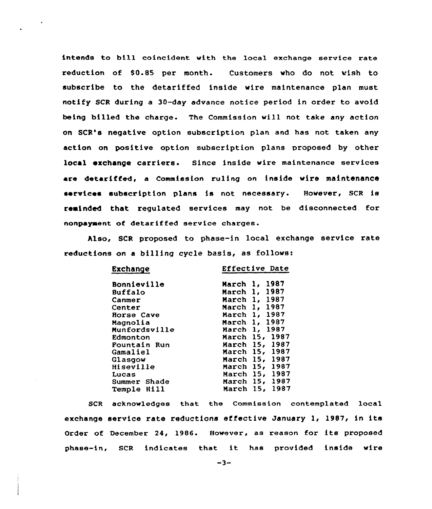intends to bi11 coincident with the local exchange service rate reduction of S0.85 per month. Customers who do not wish to subscribe to the detariffed inside wire maintenance plan must notify SCR during a 30-day advance notice period in order to avoid being billed the charge. The Commission will not take any action on SCR's negative option subscription plan and has not taken any action on positive option subscription plans proposed by other local exchange carriers. Since inside wire maintenance services are detariffed, a Commission ruling on inside wire maintenance services subscription plans is not necessary. However, SCR is reminded that regulated services may not be disconnected for nonpayment of detariffed service charges.

hlso, SCR proposed to phase-in local exchange service rate reductions on a billing cycle basis, as follows:

| <b>Exchange</b>    | Effective Date                  |
|--------------------|---------------------------------|
| <b>Bonnieville</b> | 1987<br>March<br>1,             |
| Buffalo            | 1987<br>March<br>1.             |
| Canmer             | 1, 1987<br>March                |
| Center             | 1987<br>1.<br>March             |
| Rorse Cave         | 1987<br>1 <sub>1</sub><br>March |
| Magnolia           | 1987<br>March 1,                |
| Munfordsville      | 1987<br>1.<br>March             |
| Edmonton           | 1987<br>15,<br>March            |
| Fountain Run       | 15, 1987<br>March               |
| Gamaliel           | 1987<br>March 15,               |
| Glasgow            | 1987<br>March 15,               |
| <b>Hiseville</b>   | 1987<br>15.<br>March            |
| Lucas              | 1987<br>15,<br>March            |
| Summer Shade       | 1987<br>15,<br>March            |
| Temple Hill        | 1987<br>15.<br>March            |

SCR acknowledges that the Commission contemplated local exchange service rate reductions effective January 1, 1987, in its Order of December 24, 1986. However, as reason for its proposed phase-in, SCR indicates that it has provided inside wire

 $-3-$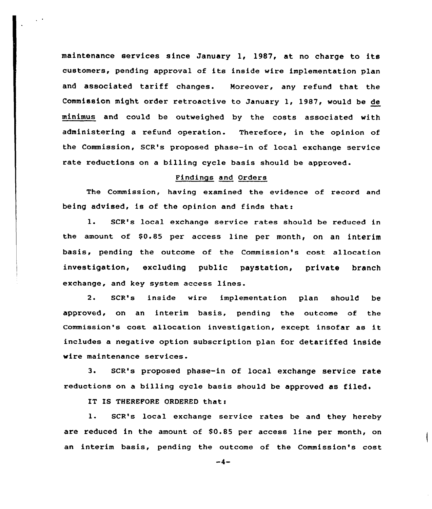maintenance services since January 1, 1987, at no charge to its customers, pending approval of its inside wire implementation plan and associated tariff changes. Moreover, any refund that the Commission might order retroactive to January 1, 1987, would be de minimus and could be outweighed by the costs associated with administering a refund operation. Therefore, in the opinion of the Commission, SCR's proposed phase-in of local exchange service rate reductions on a billing cycle basis should be approved.

# Findings and Orders

The Commission, having examined the evidence of record and being advised, is of the opinion and finds that:

1. SCR's local exchange service rates should be reduced in the amount of \$0.85 per access line per month, on an interim basis, pending the outcome of the Commission's cost allocation investigation, excluding public paystation, private branch exchange, and key system access lines.

2. SCR's inside wire implementation plan should be approved, on an interim basis, pending the outcome of the Commission's cost allocation investigation, except insofar as it includes a negative option subscription plan for detariffed inside wire maintenance services.

3. SCR's proposed phase-in of local exchange service rate reductions on a billing cycle basis should be approved as filed.

IT IS THEREFORE ORDERED that:

l. SCR's local exchange service rates be and they hereby are reduced in the amount of 80.85 per access line per month, on an interim basis, pending the outcome of the Commission's cost

 $-4-$